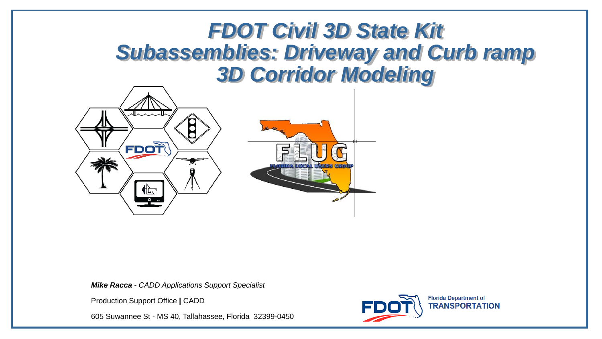### *FDOT Civil 3D State Kit Subassemblies: Driveway and Curb ramp 3D Corridor Modeling*



*Mike Racca - CADD Applications Support Specialist*

Production Support Office **|** CADD

605 Suwannee St - MS 40, Tallahassee, Florida 32399-0450

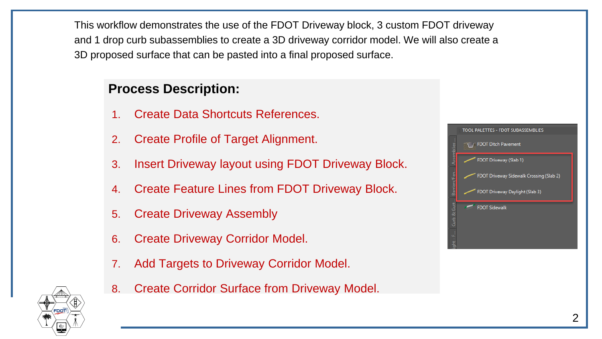This workflow demonstrates the use of the FDOT Driveway block, 3 custom FDOT driveway and 1 drop curb subassemblies to create a 3D driveway corridor model. We will also create a 3D proposed surface that can be pasted into a final proposed surface.

#### **Process Description:**

- 1. Create Data Shortcuts References.
- 2. Create Profile of Target Alignment.
- 3. Insert Driveway layout using FDOT Driveway Block.
- 4. Create Feature Lines from FDOT Driveway Block.
- 5. Create Driveway Assembly
- 6. Create Driveway Corridor Model.
- 7. Add Targets to Driveway Corridor Model.
- 8. Create Corridor Surface from Driveway Model.



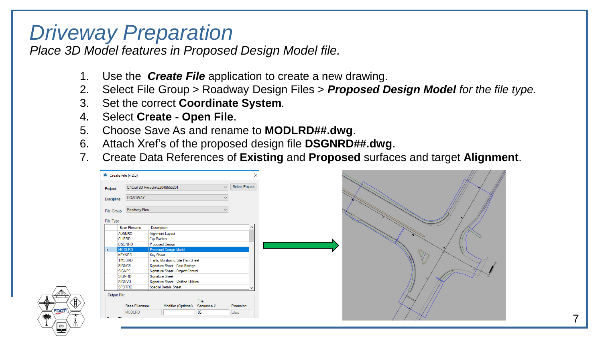### *Driveway Preparation*

*Place 3D Model features in Proposed Design Model file.*

- 1. Use the *Create File* application to create a new drawing.
- 2. Select File Group > Roadway Design Files > *Proposed Design Model for the file type.*
- 3. Set the correct **Coordinate System***.*
- 4. Select **Create - Open File**.
- 5. Choose Save As and rename to **MODLRD##.dwg**.
- 6. Attach Xref's of the proposed design file **DSGNRD##.dwg**.
- 7. Create Data References of **Existing** and **Proposed** surfaces and target **Alignment**.

|                                              | A Create File (v 2.0)          |                                                                      |                          | ×                     |
|----------------------------------------------|--------------------------------|----------------------------------------------------------------------|--------------------------|-----------------------|
| C:\Civil 3D Projects\22049555201<br>Project: |                                |                                                                      |                          | $\vee$ Select Project |
| Discipline:                                  | ROADWAY                        | $\sim$                                                               |                          |                       |
| File Group:                                  | Roadway Files                  |                                                                      |                          | $\checkmark$          |
| File Type:                                   |                                |                                                                      |                          |                       |
|                                              | <b>Base Filename</b>           | Description                                                          |                          |                       |
|                                              | <b>ALGNRD</b>                  | Alignment Layout                                                     |                          |                       |
|                                              | <b>CLIPRD</b>                  | <b>Clip Borders</b>                                                  |                          |                       |
|                                              | <b>DSGNRD</b>                  | Proposed Design                                                      |                          |                       |
|                                              | <b>MODLRD</b>                  | Proposed Design Model                                                |                          |                       |
|                                              | <b>KEYSRD</b>                  | <b>Key Sheet</b>                                                     |                          |                       |
|                                              | <b>TMSSRD</b><br><b>SIGNCB</b> | Traffic Monitoring Site Plan Sheet<br>Signature Sheet - Core Borings |                          |                       |
|                                              | <b>SIGNPC</b>                  | Signature Sheet - Project Control                                    |                          |                       |
|                                              | SIGNRD                         | Signature Sheet                                                      |                          |                       |
|                                              | SIGNVU                         | Signature Sheet - Verified Utilities                                 |                          |                       |
|                                              | <b>SPDTRD</b>                  | <b>Special Details Sheet</b>                                         |                          |                       |
| Output File:                                 |                                |                                                                      |                          |                       |
|                                              |                                |                                                                      | File                     |                       |
|                                              | <b>Base Filename:</b>          | Modifier (Optional)                                                  | Sequence #:              | Extension:            |
|                                              | <b>MODLRD</b>                  |                                                                      | 05                       | .dwg                  |
|                                              |                                | <b>CONSTRUCTION</b>                                                  | <b><i>INSOLDIDAE</i></b> |                       |

7

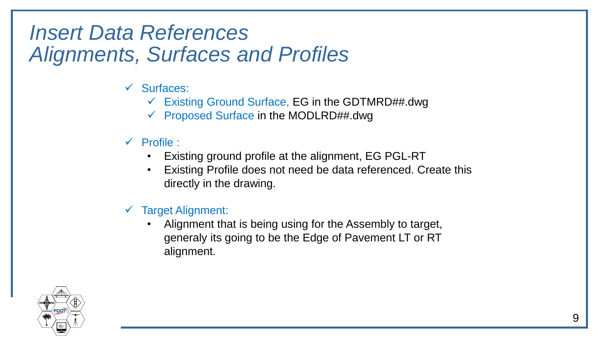### *Insert Data References Alignments, Surfaces and Profiles*

- ✓ Surfaces:
	- $\checkmark$  Existing Ground Surface, EG in the GDTMRD##.dwg
	- ✓ Proposed Surface in the MODLRD##.dwg
- ✓ Profile :
	- Existing ground profile at the alignment, EG PGL-RT
	- Existing Profile does not need be data referenced. Create this directly in the drawing.
- ✓ Target Alignment:
	- Alignment that is being using for the Assembly to target, generaly its going to be the Edge of Pavement LT or RT alignment.

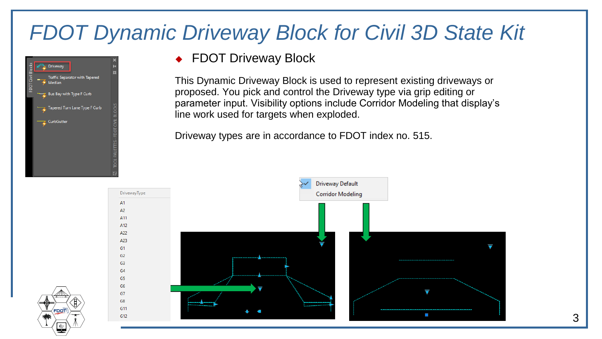## *FDOT Dynamic Driveway Block for Civil 3D State Kit*



#### ◆ FDOT Driveway Block

This Dynamic Driveway Block is used to represent existing driveways or proposed. You pick and control the Driveway type via grip editing or parameter input. Visibility options include Corridor Modeling that display's line work used for targets when exploded.

Driveway types are in accordance to FDOT index no. 515.

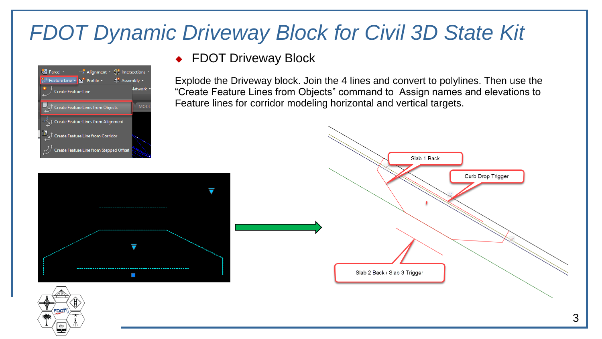## *FDOT Dynamic Driveway Block for Civil 3D State Kit*

◆ FDOT Driveway Block



Explode the Driveway block. Join the 4 lines and convert to polylines. Then use the "Create Feature Lines from Objects" command to Assign names and elevations to Feature lines for corridor modeling horizontal and vertical targets.

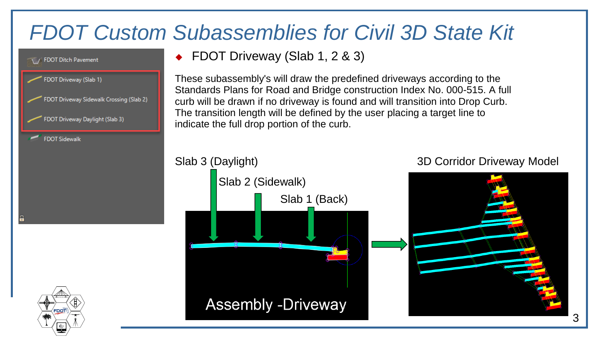## *FDOT Custom Subassemblies for Civil 3D State Kit*



◆ FDOT Driveway (Slab 1, 2 & 3)

Slab 2 (Sidewalk)

**Assembly -Driveway** 

These subassembly's will draw the predefined driveways according to the Standards Plans for Road and Bridge construction Index No. 000-515. A full curb will be drawn if no driveway is found and will transition into Drop Curb. The transition length will be defined by the user placing a target line to indicate the full drop portion of the curb.

Slab 1 (Back)